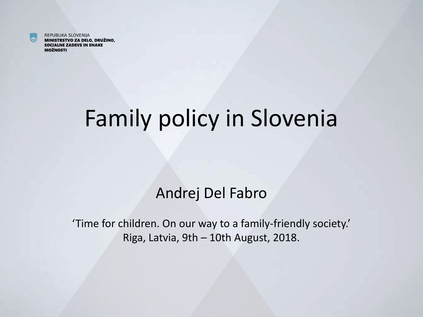

# Family policy in Slovenia

#### Andrej Del Fabro

'Time for children. On our way to a family-friendly society.' Riga, Latvia, 9th – 10th August, 2018.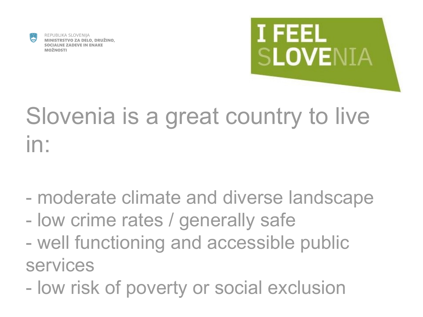

REPUBLIKA SLOVENIJA ISTVO ZA DELO, DRUŽINO, E ZADEVE IN ENAKE MOŽNOSTI



# Slovenia is a great country to live in:

- moderate climate and diverse landscape
- low crime rates / generally safe
- well functioning and accessible public services
- low risk of poverty or social exclusion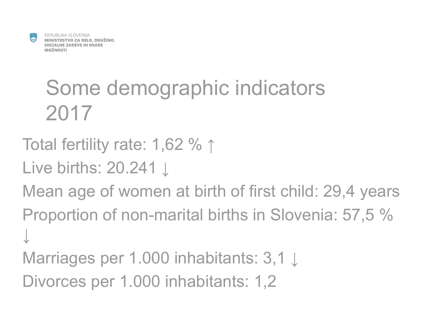

# Some demographic indicators 2017

- Total fertility rate: 1,62 % ↑
- Live births: 20.241 ↓

Mean age of women at birth of first child: 29,4 years Proportion of non-marital births in Slovenia: 57,5 % ↓

Marriages per 1.000 inhabitants: 3,1 ↓

Divorces per 1.000 inhabitants: 1,2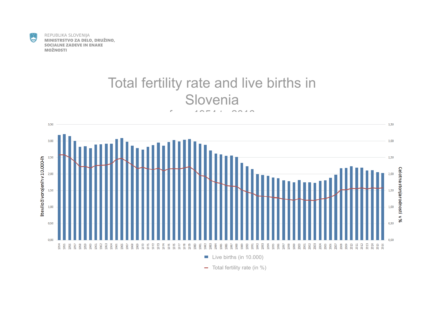

#### Total fertility rate and live births in Slovenia



 $-$  Total fertility rate (in %)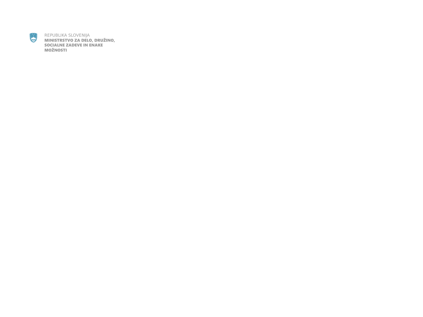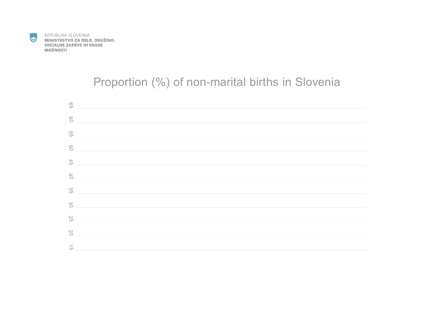

#### Proportion (%) of non-marital births in Slovenia

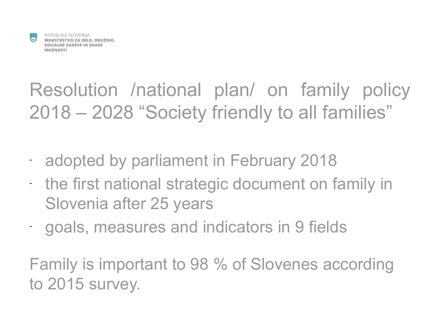

# Resolution /national plan/ on family policy 2018 – 2028 "Society friendly to all families"

- adopted by parliament in February 2018
- the first national strategic document on family in Slovenia after 25 years
- goals, measures and indicators in 9 fields

Family is important to 98 % of Slovenes according to 2015 survey.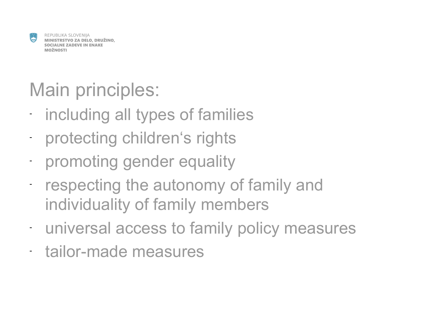

# Main principles:

- including all types of families
- protecting children's rights
- promoting gender equality
- respecting the autonomy of family and individuality of family members
- universal access to family policy measures
- tailor-made measures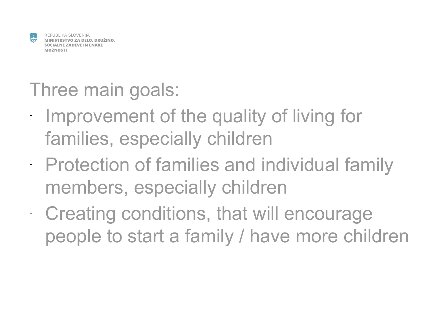

### Three main goals:

- Improvement of the quality of living for families, especially children
- Protection of families and individual family members, especially children
- Creating conditions, that will encourage people to start a family / have more children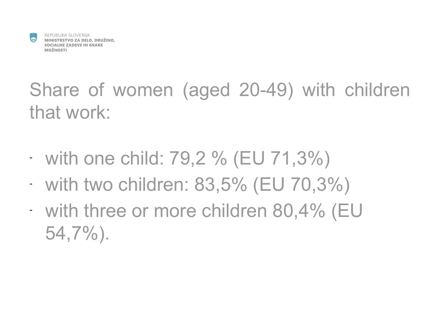

# Share of women (aged 20-49) with children that work:

- with one child: 79,2 % (EU 71,3%)
- with two children: 83,5% (EU 70,3%)
- with three or more children 80,4% (EU 54,7%).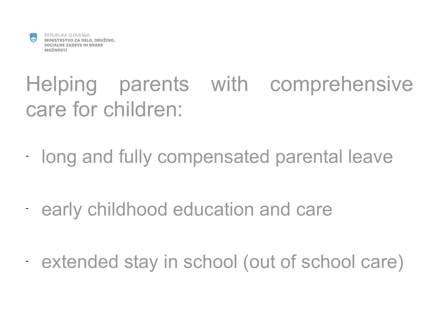

# Helping parents with comprehensive care for children:

- long and fully compensated parental leave

- early childhood education and care

- extended stay in school (out of school care)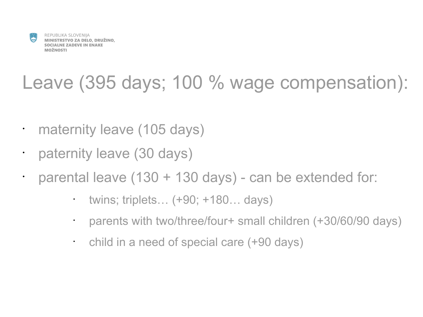

•

## Leave (395 days; 100 % wage compensation):

- maternity leave (105 days)
- paternity leave (30 days)
- parental leave  $(130 + 130 \text{ days})$  can be extended for:
	- twins; triplets… (+90; +180… days)
	- parents with two/three/four+ small children (+30/60/90 days)
	- child in a need of special care (+90 days)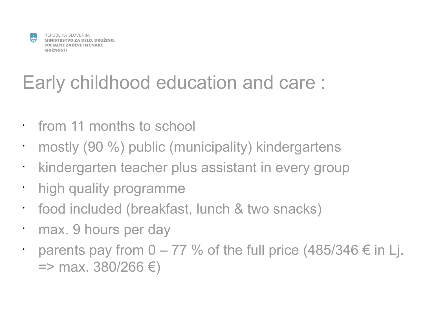

# Early childhood education and care :

- from 11 months to school
- mostly (90 %) public (municipality) kindergartens
- kindergarten teacher plus assistant in every group
- high quality programme
- food included (breakfast, lunch & two snacks)
- max. 9 hours per day
- parents pay from  $0 77$  % of the full price (485/346  $\epsilon$  in Lj.  $\Rightarrow$  max. 380/266 €)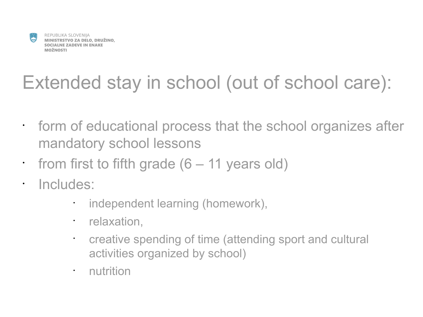

# Extended stay in school (out of school care):

- form of educational process that the school organizes after mandatory school lessons
- from first to fifth grade (6 – 11 years old)
- Includes:
	- independent learning (homework),
	- relaxation,
	- creative spending of time (attending sport and cultural activities organized by school)
	- nutrition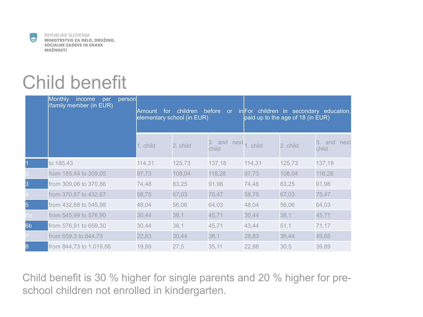

### Child benefit

|                | <b>Monthly</b><br>income<br>person<br>per<br>family member (in EUR) | Amount<br>for | children<br>elementary school (in EUR) | before<br>or                      | inFor children in secondary education,<br>paid up to the age of 18 (in EUR) |          |                         |
|----------------|---------------------------------------------------------------------|---------------|----------------------------------------|-----------------------------------|-----------------------------------------------------------------------------|----------|-------------------------|
|                |                                                                     | 1. child      | 2. child                               | 3. and $next_{1.}$ child<br>child |                                                                             | 2. child | 3. and<br>next<br>child |
|                | to 185,43                                                           | 114,31        | 125,73                                 | 137,18                            | 114,31                                                                      | 125,73   | 137,18                  |
|                | from 185,44 to 309,05                                               | 97,73         | 108,04                                 | 118,28                            | 97,73                                                                       | 108,04   | 118,28                  |
| 3              | from 309,06 to 370,86                                               | 74,48         | 83,25                                  | 91,98                             | 74,48                                                                       | 83,25    | 91,98                   |
|                | from 370,87 to 432,67                                               | 58,75         | 67,03                                  | 75,47                             | 58,75                                                                       | 67,03    | 75,47                   |
| 5              | from 432,68 to 545,98                                               | 48,04         | 56,06                                  | 64,03                             | 48,04                                                                       | 56,06    | 64,03                   |
| 6а.            | from 545,99 to 576,90                                               | 30,44         | 38,1                                   | 45,71                             | 30,44                                                                       | 38,1     | 45,71                   |
| 6 <sub>b</sub> | from 576,91 to 659,30                                               | 30,44         | 38,1                                   | 45,71                             | 43,44                                                                       | 51,1     | 71,17                   |
|                | from 659,3 to 844,73                                                | 22,83         | 30,44                                  | 38,1                              | 28,83                                                                       | 36,44    | 49,65                   |
| 8              | from 844,73 to 1.019,86                                             | 19,88         | 27,5                                   | 35,11                             | 22,88                                                                       | 30,5     | 39,89                   |

Child benefit is 30 % higher for single parents and 20 % higher for preschool children not enrolled in kindergarten.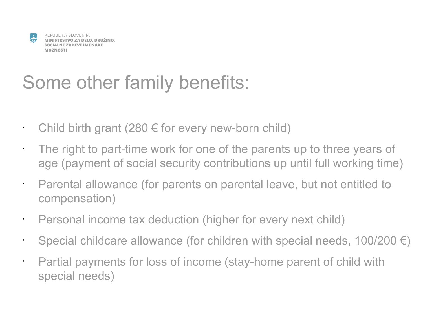

# Some other family benefits:

- Child birth grant (280  $\epsilon$  for every new-born child)
- The right to part-time work for one of the parents up to three years of age (payment of social security contributions up until full working time)
- Parental allowance (for parents on parental leave, but not entitled to compensation)
- Personal income tax deduction (higher for every next child)
	- Special childcare allowance (for children with special needs,  $100/200 \in$ )
	- Partial payments for loss of income (stay-home parent of child with special needs)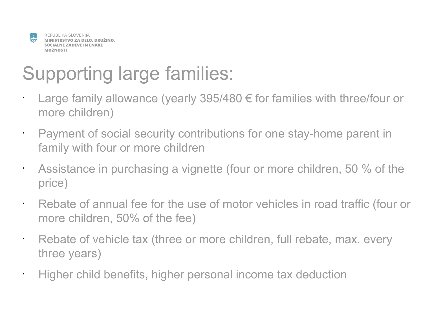# Supporting large families:

- Large family allowance (yearly 395/480  $\epsilon$  for families with three/four or more children)
- Payment of social security contributions for one stay-home parent in family with four or more children
- Assistance in purchasing a vignette (four or more children, 50 % of the price)
- Rebate of annual fee for the use of motor vehicles in road traffic (four or more children, 50% of the fee)
- Rebate of vehicle tax (three or more children, full rebate, max. every three years)
- Higher child benefits, higher personal income tax deduction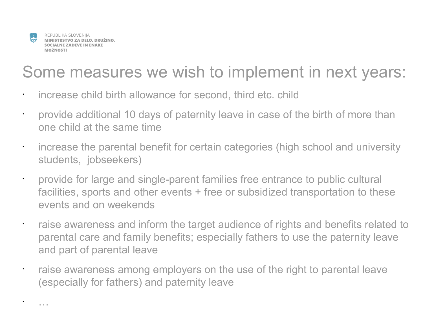•

•

#### Some measures we wish to implement in next years:

increase child birth allowance for second, third etc. child

• provide additional 10 days of paternity leave in case of the birth of more than one child at the same time

increase the parental benefit for certain categories (high school and university students, jobseekers)

• provide for large and single-parent families free entrance to public cultural facilities, sports and other events + free or subsidized transportation to these events and on weekends

raise awareness and inform the target audience of rights and benefits related to parental care and family benefits; especially fathers to use the paternity leave and part of parental leave

• raise awareness among employers on the use of the right to parental leave (especially for fathers) and paternity leave